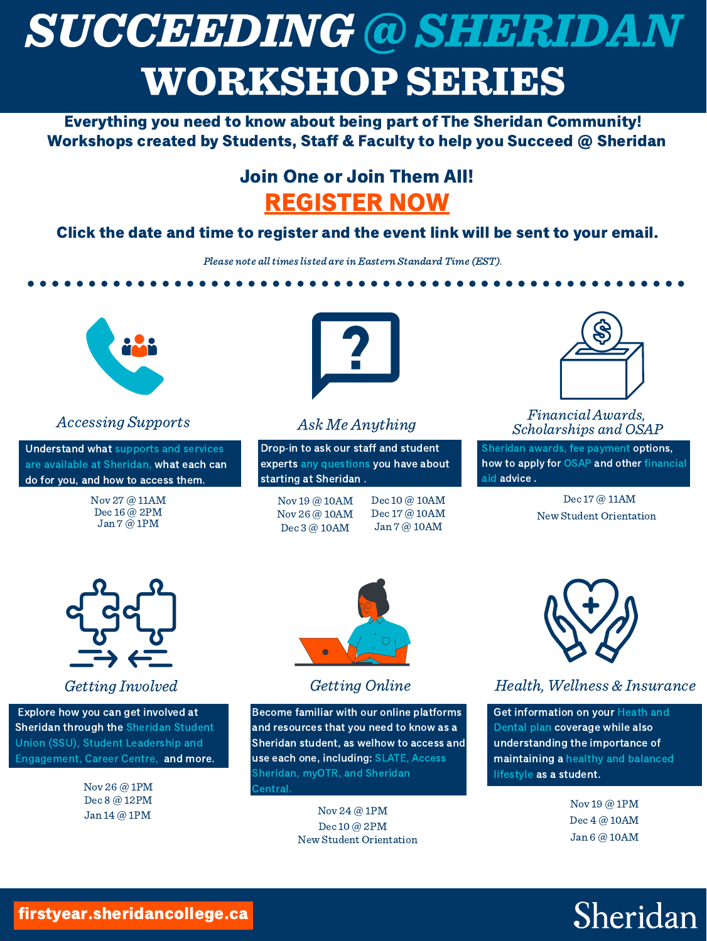Drop-in to ask our staff and student experts any questions you have about *Brop* in to ask our start<br>experts any questions <sub>)</sub><br>starting at Sheridan .



# SUCCEEDING @ SHERIDAN WORKSHOP SERIES

Everything you need to know about being part of The Sheridan Community! Workshops created by Students, Staff & Faculty to help you Succeed @ Sheridan

### Join One or Join Them All! [REGISTER](https://sheridancollege.webex.com/sheridancollege/onstage/g.php?PRID=65d922cc2f1ed309ea7190b242c187b8) NOW

Understand what supports and services Understand what supports and services<br>are available at Sheridan, what each can are available at Sheridan, what each can<br>do for you, and how to access them.



Click the date and time to register and the event link will be sent to your email.

Please note all times listed are in Eastern Standard Time (EST).

Sheridan awards, fee payment options, how to apply for OSAP and other financial oncridan av<br>how to appl<br>aid advice .

#### Financial Awards, Scholarships and OSAP

Become familiar with our online platforms and resources that you need to know as a Become rammar with our online platforms<br>and resources that you need to know as a<br>Sheridan student, as welhow to access and and resources that you need to know as<br>Sheridan student, as welhow to access<br>use each one, including: SLATE, Access use each one, including: SLATE, Access Sheridan, myOTR, and Sheridan<br>Central.

#### Ask Me Anything

#### Getting Involved

Explore how you can get involved at Sheridan through the Sheridan Student Explore now you can get involved at<br>Sheridan through the Sheridan Stude<br>Union (SSU), Student Leadership and Union (SSU), Student Leadership and<br>Engagement, Career Centre, and more.

> Nov 26 @ [1PM](https://sheridancollege.webex.com/sheridancollege/onstage/g.php?MTID=e77cdf1763288a7ab016eed9eda16b06b) Dec 8 @ [12PM](https://sheridancollege.webex.com/sheridancollege/onstage/g.php?MTID=ed71e62902f9e7f47ea429df5834a7bb6) Jan 14 @ [1PM](https://sheridancollege.webex.com/sheridancollege/onstage/g.php?MTID=e5ae189daa111627f1ea250c64c5ddbb6)



firstyear.sheridancollege.ca

Get information on your Heath and Dental plan coverage while also understanding the importance of maintaining a healthy and balanced anacrstananig the ini<br>maintaining a healthy<br>lifestyle as a student.

Nov 19 @ [10AM](https://sheridancollege.webex.com/sheridancollege/onstage/g.php?MTID=e05983b9c84a791c24e38ffd6cdc08410) Nov 26 @ [10AM](https://sheridancollege.webex.com/sheridancollege/onstage/g.php?MTID=e46b02a79832c658fd95282849692ada1) Dec 3 @ [10AM](https://sheridancollege.webex.com/sheridancollege/onstage/g.php?MTID=ea82a7ca716b75afce0dc6ca39d807772)

Dec 10 @ [10AM](https://sheridancollege.webex.com/sheridancollege/onstage/g.php?MTID=edafa874e6c0a476adb7d65314060b0be) Dec 17 @ [10AM](https://sheridancollege.webex.com/sheridancollege/onstage/g.php?MTID=e50827abb716ff8c052c38e1addeb702d) Jan 7 @ [10AM](https://sheridancollege.webex.com/sheridancollege/onstage/g.php?MTID=ebacb054dd0c82dba9a2d37fc368081ef)



Nov 27 @ [11AM](https://sheridancollege.webex.com/sheridancollege/onstage/g.php?MTID=ecdcc3a3092d7ce3abc390ca0e72bc3bf) Dec 16 @ [2PM](https://sheridancollege.webex.com/sheridancollege/onstage/g.php?MTID=ee421baca421f60e9e608fd5896e867e0) Jan 7 @ [1PM](https://sheridancollege.webex.com/sheridancollege/onstage/g.php?MTID=e0f2a353cdf20dc3cd9dd41ea0ed087bd)

#### Dec 17 @ [11AM](https://sheridancollege.webex.com/sheridancollege/onstage/g.php?MTID=e0e4edd531fd96ce71586a8c05cec3a6e) New Student [Orientation](https://central.sheridancollege.ca/new-student-orientation)



#### Getting Online

Nov 24 @ [1PM](https://sheridancollege.webex.com/sheridancollege/onstage/g.php?MTID=eac16ccce6ce2a9d2137a3882d804f660) Dec 10 @ [2PM](https://sheridancollege.webex.com/sheridancollege/onstage/g.php?MTID=eb8376eb407a9eaab787f7a3446bbc8ec) New Student [Orientation](https://central.sheridancollege.ca/new-student-orientation)



#### Health, Wellness & Insurance

Nov 19 @ [1PM](https://sheridancollege.webex.com/sheridancollege/onstage/g.php?MTID=ebe737cb04b84fd144664c349185a73b8) Dec 4 @ [10AM](https://sheridancollege.webex.com/sheridancollege/onstage/g.php?MTID=ef705871012425debcfbc0bc441d131e4) Jan 6 @ [10AM](https://sheridancollege.webex.com/sheridancollege/onstage/g.php?MTID=e81a25339dadb65b6c4f51ff0df9cde4f)

## Sheridan